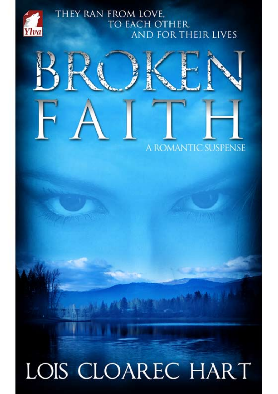

#### THEY RAN FROM LOVE. TO EACH OTHER. **AND FOR THEIR LIVES**



# LOIS CLOAREC HART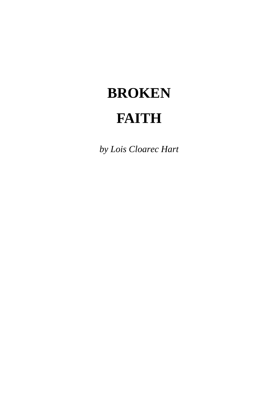## **BROKEN**

### **FAITH**

*by Lois Cloarec Hart*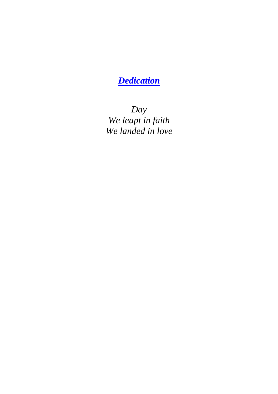*Dedication*

*Day We leapt in faith We landed in love*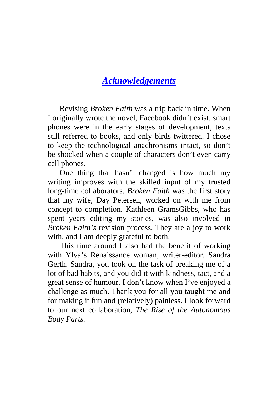#### *Acknowledgements*

Revising *Broken Faith* was a trip back in time. When I originally wrote the novel, Facebook didn't exist, smart phones were in the early stages of development, texts still referred to books, and only birds twittered. I chose to keep the technological anachronisms intact, so don't be shocked when a couple of characters don't even carry cell phones.

One thing that hasn't changed is how much my writing improves with the skilled input of my trusted long-time collaborators. *Broken Faith* was the first story that my wife, Day Petersen, worked on with me from concept to completion. Kathleen GramsGibbs, who has spent years editing my stories, was also involved in *Broken Faith's* revision process. They are a joy to work with, and I am deeply grateful to both.

This time around I also had the benefit of working with Ylva's Renaissance woman, writer-editor, Sandra Gerth. Sandra, you took on the task of breaking me of a lot of bad habits, and you did it with kindness, tact, and a great sense of humour. I don't know when I've enjoyed a challenge as much. Thank you for all you taught me and for making it fun and (relatively) painless. I look forward to our next collaboration, *The Rise of the Autonomous Body Parts.*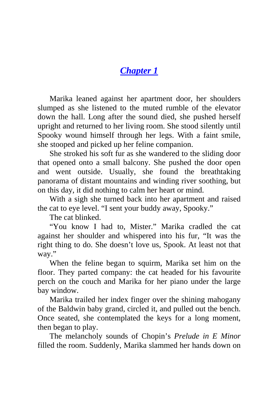#### *Chapter 1*

Marika leaned against her apartment door, her shoulders slumped as she listened to the muted rumble of the elevator down the hall. Long after the sound died, she pushed herself upright and returned to her living room. She stood silently until Spooky wound himself through her legs. With a faint smile, she stooped and picked up her feline companion.

She stroked his soft fur as she wandered to the sliding door that opened onto a small balcony. She pushed the door open and went outside. Usually, she found the breathtaking panorama of distant mountains and winding river soothing, but on this day, it did nothing to calm her heart or mind.

With a sigh she turned back into her apartment and raised the cat to eye level. "I sent your buddy away, Spooky."

The cat blinked.

"You know I had to, Mister." Marika cradled the cat against her shoulder and whispered into his fur, "It was the right thing to do. She doesn't love us, Spook. At least not that way."

When the feline began to squirm, Marika set him on the floor. They parted company: the cat headed for his favourite perch on the couch and Marika for her piano under the large bay window.

Marika trailed her index finger over the shining mahogany of the Baldwin baby grand, circled it, and pulled out the bench. Once seated, she contemplated the keys for a long moment, then began to play.

The melancholy sounds of Chopin's *Prelude in E Minor* filled the room. Suddenly, Marika slammed her hands down on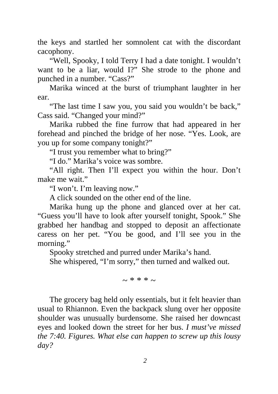the keys and startled her somnolent cat with the discordant cacophony.

"Well, Spooky, I told Terry I had a date tonight. I wouldn't want to be a liar, would I?" She strode to the phone and punched in a number. "Cass?"

Marika winced at the burst of triumphant laughter in her ear.

"The last time I saw you, you said you wouldn't be back," Cass said. "Changed your mind?"

Marika rubbed the fine furrow that had appeared in her forehead and pinched the bridge of her nose. "Yes. Look, are you up for some company tonight?"

"I trust you remember what to bring?"

"I do." Marika's voice was sombre.

"All right. Then I'll expect you within the hour. Don't make me wait."

"I won't. I'm leaving now."

A click sounded on the other end of the line.

Marika hung up the phone and glanced over at her cat. "Guess you'll have to look after yourself tonight, Spook." She grabbed her handbag and stopped to deposit an affectionate caress on her pet. "You be good, and I'll see you in the morning."

Spooky stretched and purred under Marika's hand.

She whispered, "I'm sorry," then turned and walked out.

 $~ 2 * * * * 2$ 

The grocery bag held only essentials, but it felt heavier than usual to Rhiannon. Even the backpack slung over her opposite shoulder was unusually burdensome. She raised her downcast eyes and looked down the street for her bus. *I must've missed the 7:40. Figures. What else can happen to screw up this lousy day?*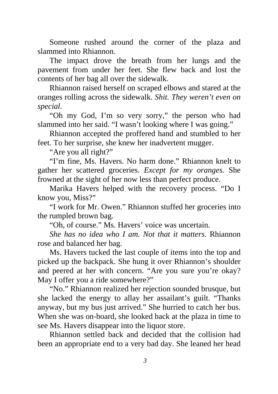Someone rushed around the corner of the plaza and slammed into Rhiannon.

The impact drove the breath from her lungs and the pavement from under her feet. She flew back and lost the contents of her bag all over the sidewalk.

Rhiannon raised herself on scraped elbows and stared at the oranges rolling across the sidewalk. *Shit. They weren't even on special.* 

"Oh my God, I'm so very sorry," the person who had slammed into her said. "I wasn't looking where I was going."

Rhiannon accepted the proffered hand and stumbled to her feet. To her surprise, she knew her inadvertent mugger.

"Are you all right?"

"I'm fine, Ms. Havers. No harm done." Rhiannon knelt to gather her scattered groceries. *Except for my oranges.* She frowned at the sight of her now less than perfect produce.

Marika Havers helped with the recovery process. "Do I know you, Miss?"

"I work for Mr. Owen." Rhiannon stuffed her groceries into the rumpled brown bag.

"Oh, of course." Ms. Havers' voice was uncertain.

*She has no idea who I am. Not that it matters.* Rhiannon rose and balanced her bag.

Ms. Havers tucked the last couple of items into the top and picked up the backpack. She hung it over Rhiannon's shoulder and peered at her with concern. "Are you sure you're okay? May I offer you a ride somewhere?"

"No." Rhiannon realized her rejection sounded brusque, but she lacked the energy to allay her assailant's guilt. "Thanks anyway, but my bus just arrived." She hurried to catch her bus. When she was on-board, she looked back at the plaza in time to see Ms. Havers disappear into the liquor store.

Rhiannon settled back and decided that the collision had been an appropriate end to a very bad day. She leaned her head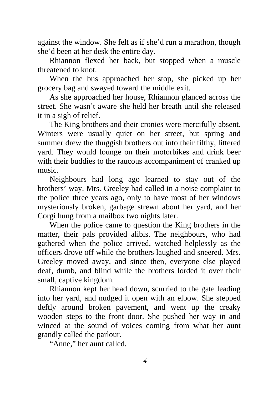against the window. She felt as if she'd run a marathon, though she'd been at her desk the entire day.

Rhiannon flexed her back, but stopped when a muscle threatened to knot.

When the bus approached her stop, she picked up her grocery bag and swayed toward the middle exit.

As she approached her house, Rhiannon glanced across the street. She wasn't aware she held her breath until she released it in a sigh of relief.

The King brothers and their cronies were mercifully absent. Winters were usually quiet on her street, but spring and summer drew the thuggish brothers out into their filthy, littered yard. They would lounge on their motorbikes and drink beer with their buddies to the raucous accompaniment of cranked up music.

Neighbours had long ago learned to stay out of the brothers' way. Mrs. Greeley had called in a noise complaint to the police three years ago, only to have most of her windows mysteriously broken, garbage strewn about her yard, and her Corgi hung from a mailbox two nights later.

When the police came to question the King brothers in the matter, their pals provided alibis. The neighbours, who had gathered when the police arrived, watched helplessly as the officers drove off while the brothers laughed and sneered. Mrs. Greeley moved away, and since then, everyone else played deaf, dumb, and blind while the brothers lorded it over their small, captive kingdom.

Rhiannon kept her head down, scurried to the gate leading into her yard, and nudged it open with an elbow. She stepped deftly around broken pavement, and went up the creaky wooden steps to the front door. She pushed her way in and winced at the sound of voices coming from what her aunt grandly called the parlour.

"Anne," her aunt called.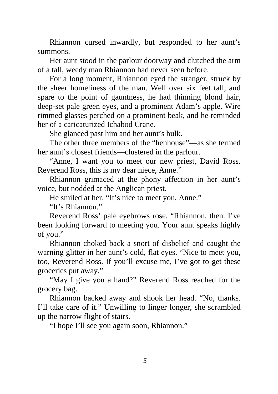Rhiannon cursed inwardly, but responded to her aunt's summons.

Her aunt stood in the parlour doorway and clutched the arm of a tall, weedy man Rhiannon had never seen before.

For a long moment, Rhiannon eyed the stranger, struck by the sheer homeliness of the man. Well over six feet tall, and spare to the point of gauntness, he had thinning blond hair, deep-set pale green eyes, and a prominent Adam's apple. Wire rimmed glasses perched on a prominent beak, and he reminded her of a caricaturized Ichabod Crane.

She glanced past him and her aunt's bulk.

The other three members of the "henhouse"—as she termed her aunt's closest friends—clustered in the parlour.

"Anne, I want you to meet our new priest, David Ross. Reverend Ross, this is my dear niece, Anne."

Rhiannon grimaced at the phony affection in her aunt's voice, but nodded at the Anglican priest.

He smiled at her. "It's nice to meet you, Anne."

"It's Rhiannon."

Reverend Ross' pale eyebrows rose. "Rhiannon, then. I've been looking forward to meeting you. Your aunt speaks highly of you."

Rhiannon choked back a snort of disbelief and caught the warning glitter in her aunt's cold, flat eyes. "Nice to meet you, too, Reverend Ross. If you'll excuse me, I've got to get these groceries put away."

"May I give you a hand?" Reverend Ross reached for the grocery bag.

Rhiannon backed away and shook her head. "No, thanks. I'll take care of it." Unwilling to linger longer, she scrambled up the narrow flight of stairs.

"I hope I'll see you again soon, Rhiannon."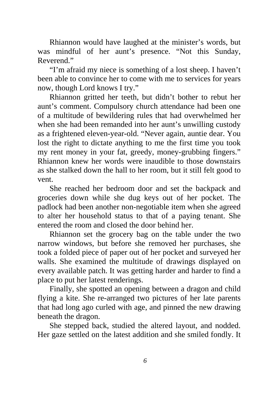Rhiannon would have laughed at the minister's words, but was mindful of her aunt's presence. "Not this Sunday, Reverend."

"I'm afraid my niece is something of a lost sheep. I haven't been able to convince her to come with me to services for years now, though Lord knows I try."

Rhiannon gritted her teeth, but didn't bother to rebut her aunt's comment. Compulsory church attendance had been one of a multitude of bewildering rules that had overwhelmed her when she had been remanded into her aunt's unwilling custody as a frightened eleven-year-old. "Never again, auntie dear. You lost the right to dictate anything to me the first time you took my rent money in your fat, greedy, money-grubbing fingers." Rhiannon knew her words were inaudible to those downstairs as she stalked down the hall to her room, but it still felt good to vent.

She reached her bedroom door and set the backpack and groceries down while she dug keys out of her pocket. The padlock had been another non-negotiable item when she agreed to alter her household status to that of a paying tenant. She entered the room and closed the door behind her.

Rhiannon set the grocery bag on the table under the two narrow windows, but before she removed her purchases, she took a folded piece of paper out of her pocket and surveyed her walls. She examined the multitude of drawings displayed on every available patch. It was getting harder and harder to find a place to put her latest renderings.

Finally, she spotted an opening between a dragon and child flying a kite. She re-arranged two pictures of her late parents that had long ago curled with age, and pinned the new drawing beneath the dragon.

She stepped back, studied the altered layout, and nodded. Her gaze settled on the latest addition and she smiled fondly. It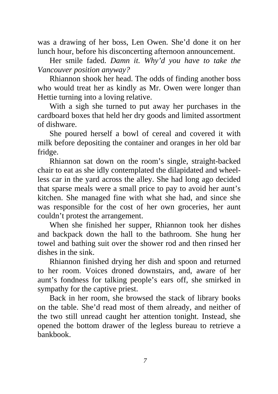was a drawing of her boss, Len Owen. She'd done it on her lunch hour, before his disconcerting afternoon announcement.

Her smile faded. *Damn it. Why'd you have to take the Vancouver position anyway?* 

Rhiannon shook her head. The odds of finding another boss who would treat her as kindly as Mr. Owen were longer than Hettie turning into a loving relative.

With a sigh she turned to put away her purchases in the cardboard boxes that held her dry goods and limited assortment of dishware.

She poured herself a bowl of cereal and covered it with milk before depositing the container and oranges in her old bar fridge.

Rhiannon sat down on the room's single, straight-backed chair to eat as she idly contemplated the dilapidated and wheelless car in the yard across the alley. She had long ago decided that sparse meals were a small price to pay to avoid her aunt's kitchen. She managed fine with what she had, and since she was responsible for the cost of her own groceries, her aunt couldn't protest the arrangement.

When she finished her supper, Rhiannon took her dishes and backpack down the hall to the bathroom. She hung her towel and bathing suit over the shower rod and then rinsed her dishes in the sink.

Rhiannon finished drying her dish and spoon and returned to her room. Voices droned downstairs, and, aware of her aunt's fondness for talking people's ears off, she smirked in sympathy for the captive priest.

Back in her room, she browsed the stack of library books on the table. She'd read most of them already, and neither of the two still unread caught her attention tonight. Instead, she opened the bottom drawer of the legless bureau to retrieve a bankbook.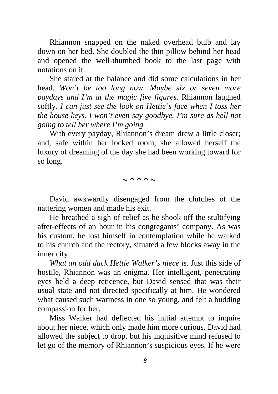Rhiannon snapped on the naked overhead bulb and lay down on her bed. She doubled the thin pillow behind her head and opened the well-thumbed book to the last page with notations on it.

She stared at the balance and did some calculations in her head. *Won't be too long now. Maybe six or seven more paydays and I'm at the magic five figures.* Rhiannon laughed softly. *I can just see the look on Hettie's face when I toss her the house keys. I won't even say goodbye. I'm sure as hell not going to tell her where I'm going.* 

With every payday, Rhiannon's dream drew a little closer; and, safe within her locked room, she allowed herself the luxury of dreaming of the day she had been working toward for so long.

 $~...$  \* \* \*  $~...$ 

David awkwardly disengaged from the clutches of the nattering women and made his exit.

He breathed a sigh of relief as he shook off the stultifying after-effects of an hour in his congregants' company. As was his custom, he lost himself in contemplation while he walked to his church and the rectory, situated a few blocks away in the inner city.

*What an odd duck Hettie Walker's niece is.* Just this side of hostile, Rhiannon was an enigma. Her intelligent, penetrating eyes held a deep reticence, but David sensed that was their usual state and not directed specifically at him. He wondered what caused such wariness in one so young, and felt a budding compassion for her.

Miss Walker had deflected his initial attempt to inquire about her niece, which only made him more curious. David had allowed the subject to drop, but his inquisitive mind refused to let go of the memory of Rhiannon's suspicious eyes. If he were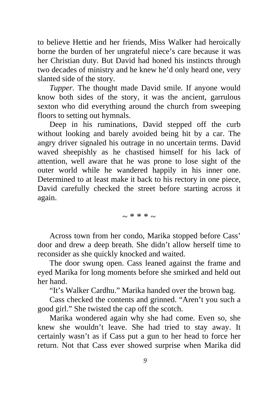to believe Hettie and her friends, Miss Walker had heroically borne the burden of her ungrateful niece's care because it was her Christian duty. But David had honed his instincts through two decades of ministry and he knew he'd only heard one, very slanted side of the story.

*Tupper.* The thought made David smile. If anyone would know both sides of the story, it was the ancient, garrulous sexton who did everything around the church from sweeping floors to setting out hymnals.

Deep in his ruminations, David stepped off the curb without looking and barely avoided being hit by a car. The angry driver signaled his outrage in no uncertain terms. David waved sheepishly as he chastised himself for his lack of attention, well aware that he was prone to lose sight of the outer world while he wandered happily in his inner one. Determined to at least make it back to his rectory in one piece, David carefully checked the street before starting across it again.

 $~ 2 * * * * 2$ 

Across town from her condo, Marika stopped before Cass' door and drew a deep breath. She didn't allow herself time to reconsider as she quickly knocked and waited.

The door swung open. Cass leaned against the frame and eyed Marika for long moments before she smirked and held out her hand.

"It's Walker Cardhu." Marika handed over the brown bag.

Cass checked the contents and grinned. "Aren't you such a good girl." She twisted the cap off the scotch.

Marika wondered again why she had come. Even so, she knew she wouldn't leave. She had tried to stay away. It certainly wasn't as if Cass put a gun to her head to force her return. Not that Cass ever showed surprise when Marika did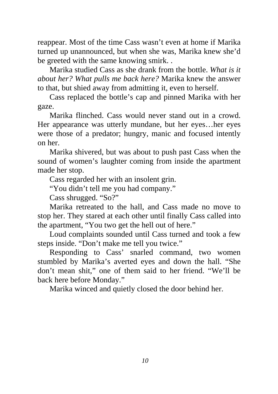reappear. Most of the time Cass wasn't even at home if Marika turned up unannounced, but when she was, Marika knew she'd be greeted with the same knowing smirk. .

Marika studied Cass as she drank from the bottle. *What is it about her? What pulls me back here?* Marika knew the answer to that, but shied away from admitting it, even to herself.

Cass replaced the bottle's cap and pinned Marika with her gaze.

Marika flinched. Cass would never stand out in a crowd. Her appearance was utterly mundane, but her eyes…her eyes were those of a predator; hungry, manic and focused intently on her.

Marika shivered, but was about to push past Cass when the sound of women's laughter coming from inside the apartment made her stop.

Cass regarded her with an insolent grin.

"You didn't tell me you had company."

Cass shrugged. "So?"

Marika retreated to the hall, and Cass made no move to stop her. They stared at each other until finally Cass called into the apartment, "You two get the hell out of here."

Loud complaints sounded until Cass turned and took a few steps inside. "Don't make me tell you twice."

Responding to Cass' snarled command, two women stumbled by Marika's averted eyes and down the hall. "She don't mean shit," one of them said to her friend. "We'll be back here before Monday."

Marika winced and quietly closed the door behind her.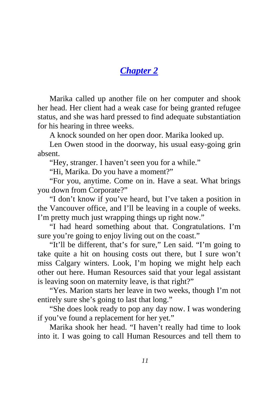#### *Chapter 2*

Marika called up another file on her computer and shook her head. Her client had a weak case for being granted refugee status, and she was hard pressed to find adequate substantiation for his hearing in three weeks.

A knock sounded on her open door. Marika looked up.

Len Owen stood in the doorway, his usual easy-going grin absent.

"Hey, stranger. I haven't seen you for a while."

"Hi, Marika. Do you have a moment?"

"For you, anytime. Come on in. Have a seat. What brings you down from Corporate?"

"I don't know if you've heard, but I've taken a position in the Vancouver office, and I'll be leaving in a couple of weeks. I'm pretty much just wrapping things up right now."

"I had heard something about that. Congratulations. I'm sure you're going to enjoy living out on the coast."

"It'll be different, that's for sure," Len said. "I'm going to take quite a hit on housing costs out there, but I sure won't miss Calgary winters. Look, I'm hoping we might help each other out here. Human Resources said that your legal assistant is leaving soon on maternity leave, is that right?"

"Yes. Marion starts her leave in two weeks, though I'm not entirely sure she's going to last that long."

"She does look ready to pop any day now. I was wondering if you've found a replacement for her yet."

Marika shook her head. "I haven't really had time to look into it. I was going to call Human Resources and tell them to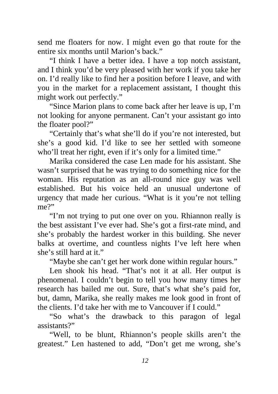send me floaters for now. I might even go that route for the entire six months until Marion's back."

"I think I have a better idea. I have a top notch assistant, and I think you'd be very pleased with her work if you take her on. I'd really like to find her a position before I leave, and with you in the market for a replacement assistant, I thought this might work out perfectly."

"Since Marion plans to come back after her leave is up, I'm not looking for anyone permanent. Can't your assistant go into the floater pool?"

"Certainly that's what she'll do if you're not interested, but she's a good kid. I'd like to see her settled with someone who'll treat her right, even if it's only for a limited time."

Marika considered the case Len made for his assistant. She wasn't surprised that he was trying to do something nice for the woman. His reputation as an all-round nice guy was well established. But his voice held an unusual undertone of urgency that made her curious. "What is it you're not telling me?"

"I'm not trying to put one over on you. Rhiannon really is the best assistant I've ever had. She's got a first-rate mind, and she's probably the hardest worker in this building. She never balks at overtime, and countless nights I've left here when she's still hard at it."

"Maybe she can't get her work done within regular hours."

Len shook his head. "That's not it at all. Her output is phenomenal. I couldn't begin to tell you how many times her research has bailed me out. Sure, that's what she's paid for, but, damn, Marika, she really makes me look good in front of the clients. I'd take her with me to Vancouver if I could."

"So what's the drawback to this paragon of legal assistants?"

"Well, to be blunt, Rhiannon's people skills aren't the greatest." Len hastened to add, "Don't get me wrong, she's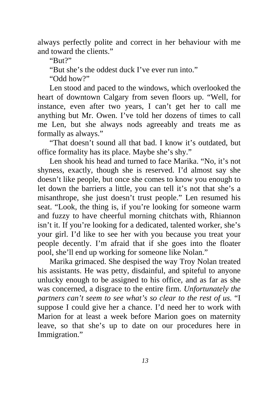always perfectly polite and correct in her behaviour with me and toward the clients."

"But?"

"But she's the oddest duck I've ever run into."

"Odd how?"

Len stood and paced to the windows, which overlooked the heart of downtown Calgary from seven floors up. "Well, for instance, even after two years, I can't get her to call me anything but Mr. Owen. I've told her dozens of times to call me Len, but she always nods agreeably and treats me as formally as always."

"That doesn't sound all that bad. I know it's outdated, but office formality has its place. Maybe she's shy."

Len shook his head and turned to face Marika. "No, it's not shyness, exactly, though she is reserved. I'd almost say she doesn't like people, but once she comes to know you enough to let down the barriers a little, you can tell it's not that she's a misanthrope, she just doesn't trust people." Len resumed his seat. "Look, the thing is, if you're looking for someone warm and fuzzy to have cheerful morning chitchats with, Rhiannon isn't it. If you're looking for a dedicated, talented worker, she's your girl. I'd like to see her with you because you treat your people decently. I'm afraid that if she goes into the floater pool, she'll end up working for someone like Nolan."

Marika grimaced. She despised the way Troy Nolan treated his assistants. He was petty, disdainful, and spiteful to anyone unlucky enough to be assigned to his office, and as far as she was concerned, a disgrace to the entire firm. *Unfortunately the partners can't seem to see what's so clear to the rest of us.* "I suppose I could give her a chance. I'd need her to work with Marion for at least a week before Marion goes on maternity leave, so that she's up to date on our procedures here in Immigration."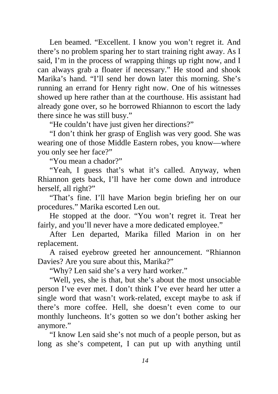Len beamed. "Excellent. I know you won't regret it. And there's no problem sparing her to start training right away. As I said, I'm in the process of wrapping things up right now, and I can always grab a floater if necessary." He stood and shook Marika's hand. "I'll send her down later this morning. She's running an errand for Henry right now. One of his witnesses showed up here rather than at the courthouse. His assistant had already gone over, so he borrowed Rhiannon to escort the lady there since he was still busy."

"He couldn't have just given her directions?"

"I don't think her grasp of English was very good. She was wearing one of those Middle Eastern robes, you know—where you only see her face?"

"You mean a chador?"

"Yeah, I guess that's what it's called. Anyway, when Rhiannon gets back, I'll have her come down and introduce herself, all right?"

"That's fine. I'll have Marion begin briefing her on our procedures." Marika escorted Len out.

He stopped at the door. "You won't regret it. Treat her fairly, and you'll never have a more dedicated employee."

After Len departed, Marika filled Marion in on her replacement.

A raised eyebrow greeted her announcement. "Rhiannon Davies? Are you sure about this, Marika?"

"Why? Len said she's a very hard worker."

"Well, yes, she is that, but she's about the most unsociable person I've ever met. I don't think I've ever heard her utter a single word that wasn't work-related, except maybe to ask if there's more coffee. Hell, she doesn't even come to our monthly luncheons. It's gotten so we don't bother asking her anymore."

"I know Len said she's not much of a people person, but as long as she's competent, I can put up with anything until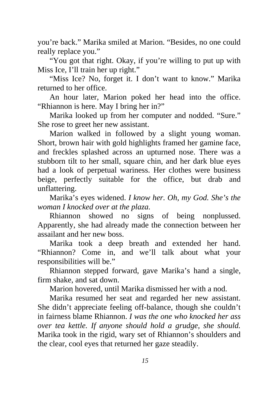you're back." Marika smiled at Marion. "Besides, no one could really replace you."

"You got that right. Okay, if you're willing to put up with Miss Ice, I'll train her up right."

"Miss Ice? No, forget it. I don't want to know." Marika returned to her office.

An hour later, Marion poked her head into the office. "Rhiannon is here. May I bring her in?"

Marika looked up from her computer and nodded. "Sure." She rose to greet her new assistant.

Marion walked in followed by a slight young woman. Short, brown hair with gold highlights framed her gamine face, and freckles splashed across an upturned nose. There was a stubborn tilt to her small, square chin, and her dark blue eyes had a look of perpetual wariness. Her clothes were business beige, perfectly suitable for the office, but drab and unflattering.

Marika's eyes widened. *I know her. Oh, my God. She's the woman I knocked over at the plaza.*

Rhiannon showed no signs of being nonplussed. Apparently, she had already made the connection between her assailant and her new boss.

Marika took a deep breath and extended her hand. "Rhiannon? Come in, and we'll talk about what your responsibilities will be."

Rhiannon stepped forward, gave Marika's hand a single, firm shake, and sat down.

Marion hovered, until Marika dismissed her with a nod.

Marika resumed her seat and regarded her new assistant. She didn't appreciate feeling off-balance, though she couldn't in fairness blame Rhiannon. *I was the one who knocked her ass over tea kettle. If anyone should hold a grudge, she should.* Marika took in the rigid, wary set of Rhiannon's shoulders and the clear, cool eyes that returned her gaze steadily.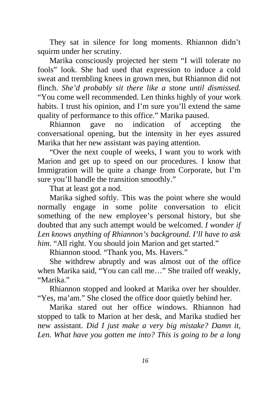They sat in silence for long moments. Rhiannon didn't squirm under her scrutiny.

Marika consciously projected her stern "I will tolerate no fools" look. She had used that expression to induce a cold sweat and trembling knees in grown men, but Rhiannon did not flinch. *She'd probably sit there like a stone until dismissed.*  "You come well recommended. Len thinks highly of your work habits. I trust his opinion, and I'm sure you'll extend the same quality of performance to this office." Marika paused.

Rhiannon gave no indication of accepting the conversational opening, but the intensity in her eyes assured Marika that her new assistant was paying attention.

"Over the next couple of weeks, I want you to work with Marion and get up to speed on our procedures. I know that Immigration will be quite a change from Corporate, but I'm sure you'll handle the transition smoothly."

That at least got a nod.

Marika sighed softly. This was the point where she would normally engage in some polite conversation to elicit something of the new employee's personal history, but she doubted that any such attempt would be welcomed. *I wonder if Len knows anything of Rhiannon's background. I'll have to ask*  him. "All right. You should join Marion and get started."

Rhiannon stood. "Thank you, Ms. Havers."

She withdrew abruptly and was almost out of the office when Marika said, "You can call me…" She trailed off weakly, "Marika"

Rhiannon stopped and looked at Marika over her shoulder. "Yes, ma'am." She closed the office door quietly behind her.

Marika stared out her office windows. Rhiannon had stopped to talk to Marion at her desk, and Marika studied her new assistant. *Did I just make a very big mistake? Damn it, Len. What have you gotten me into? This is going to be a long*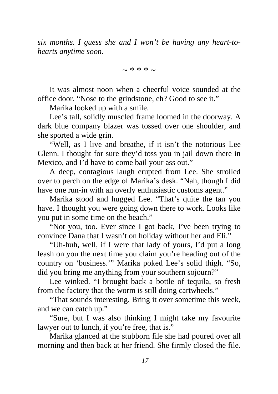*six months. I guess she and I won't be having any heart-tohearts anytime soon.* 

 $~^{\sim}$  \* \* \*  $~^{\sim}$ 

It was almost noon when a cheerful voice sounded at the office door. "Nose to the grindstone, eh? Good to see it."

Marika looked up with a smile.

Lee's tall, solidly muscled frame loomed in the doorway. A dark blue company blazer was tossed over one shoulder, and she sported a wide grin.

"Well, as I live and breathe, if it isn't the notorious Lee Glenn. I thought for sure they'd toss you in jail down there in Mexico, and I'd have to come bail your ass out."

A deep, contagious laugh erupted from Lee. She strolled over to perch on the edge of Marika's desk. "Nah, though I did have one run-in with an overly enthusiastic customs agent."

Marika stood and hugged Lee. "That's quite the tan you have. I thought you were going down there to work. Looks like you put in some time on the beach."

"Not you, too. Ever since I got back, I've been trying to convince Dana that I wasn't on holiday without her and Eli."

"Uh-huh, well, if I were that lady of yours, I'd put a long leash on you the next time you claim you're heading out of the country on 'business.'" Marika poked Lee's solid thigh. "So, did you bring me anything from your southern sojourn?"

Lee winked. "I brought back a bottle of tequila, so fresh from the factory that the worm is still doing cartwheels."

"That sounds interesting. Bring it over sometime this week, and we can catch up."

"Sure, but I was also thinking I might take my favourite lawyer out to lunch, if you're free, that is."

Marika glanced at the stubborn file she had poured over all morning and then back at her friend. She firmly closed the file.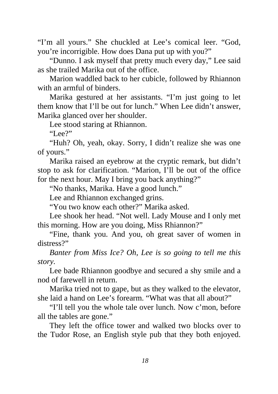"I'm all yours." She chuckled at Lee's comical leer. "God, you're incorrigible. How does Dana put up with you?"

"Dunno. I ask myself that pretty much every day," Lee said as she trailed Marika out of the office.

Marion waddled back to her cubicle, followed by Rhiannon with an armful of binders.

Marika gestured at her assistants. "I'm just going to let them know that I'll be out for lunch." When Lee didn't answer, Marika glanced over her shoulder.

Lee stood staring at Rhiannon.

"Lee?"

"Huh? Oh, yeah, okay. Sorry, I didn't realize she was one of yours."

Marika raised an eyebrow at the cryptic remark, but didn't stop to ask for clarification. "Marion, I'll be out of the office for the next hour. May I bring you back anything?"

"No thanks, Marika. Have a good lunch."

Lee and Rhiannon exchanged grins.

"You two know each other?" Marika asked.

Lee shook her head. "Not well. Lady Mouse and I only met this morning. How are you doing, Miss Rhiannon?"

"Fine, thank you. And you, oh great saver of women in distress?"

*Banter from Miss Ice? Oh, Lee is so going to tell me this story.* 

Lee bade Rhiannon goodbye and secured a shy smile and a nod of farewell in return.

Marika tried not to gape, but as they walked to the elevator, she laid a hand on Lee's forearm. "What was that all about?"

"I'll tell you the whole tale over lunch. Now c'mon, before all the tables are gone."

They left the office tower and walked two blocks over to the Tudor Rose, an English style pub that they both enjoyed.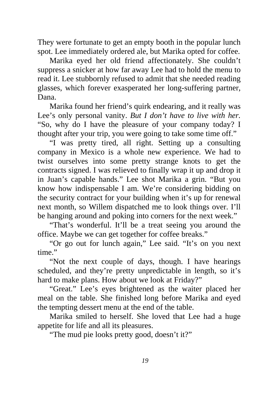They were fortunate to get an empty booth in the popular lunch spot. Lee immediately ordered ale, but Marika opted for coffee.

Marika eyed her old friend affectionately. She couldn't suppress a snicker at how far away Lee had to hold the menu to read it. Lee stubbornly refused to admit that she needed reading glasses, which forever exasperated her long-suffering partner, Dana.

Marika found her friend's quirk endearing, and it really was Lee's only personal vanity. *But I don't have to live with her.*  "So, why do I have the pleasure of your company today? I thought after your trip, you were going to take some time off."

"I was pretty tired, all right. Setting up a consulting company in Mexico is a whole new experience. We had to twist ourselves into some pretty strange knots to get the contracts signed. I was relieved to finally wrap it up and drop it in Juan's capable hands." Lee shot Marika a grin. "But you know how indispensable I am. We're considering bidding on the security contract for your building when it's up for renewal next month, so Willem dispatched me to look things over. I'll be hanging around and poking into corners for the next week."

"That's wonderful. It'll be a treat seeing you around the office. Maybe we can get together for coffee breaks."

"Or go out for lunch again," Lee said. "It's on you next time."

"Not the next couple of days, though. I have hearings scheduled, and they're pretty unpredictable in length, so it's hard to make plans. How about we look at Friday?"

"Great." Lee's eyes brightened as the waiter placed her meal on the table. She finished long before Marika and eyed the tempting dessert menu at the end of the table.

Marika smiled to herself. She loved that Lee had a huge appetite for life and all its pleasures.

"The mud pie looks pretty good, doesn't it?"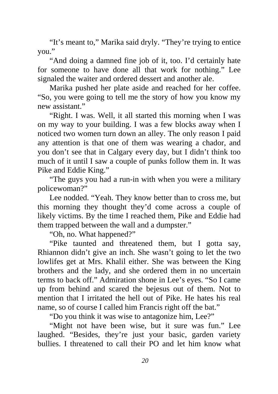"It's meant to," Marika said dryly. "They're trying to entice you."

"And doing a damned fine job of it, too. I'd certainly hate for someone to have done all that work for nothing." Lee signaled the waiter and ordered dessert and another ale.

Marika pushed her plate aside and reached for her coffee. "So, you were going to tell me the story of how you know my new assistant."

"Right. I was. Well, it all started this morning when I was on my way to your building. I was a few blocks away when I noticed two women turn down an alley. The only reason I paid any attention is that one of them was wearing a chador, and you don't see that in Calgary every day, but I didn't think too much of it until I saw a couple of punks follow them in. It was Pike and Eddie King."

"The guys you had a run-in with when you were a military policewoman?"

Lee nodded. "Yeah. They know better than to cross me, but this morning they thought they'd come across a couple of likely victims. By the time I reached them, Pike and Eddie had them trapped between the wall and a dumpster."

"Oh, no. What happened?"

"Pike taunted and threatened them, but I gotta say, Rhiannon didn't give an inch. She wasn't going to let the two lowlifes get at Mrs. Khalil either. She was between the King brothers and the lady, and she ordered them in no uncertain terms to back off." Admiration shone in Lee's eyes. "So I came up from behind and scared the bejesus out of them. Not to mention that I irritated the hell out of Pike. He hates his real name, so of course I called him Francis right off the bat."

"Do you think it was wise to antagonize him, Lee?"

"Might not have been wise, but it sure was fun." Lee laughed. "Besides, they're just your basic, garden variety bullies. I threatened to call their PO and let him know what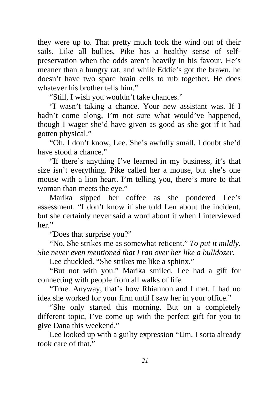they were up to. That pretty much took the wind out of their sails. Like all bullies, Pike has a healthy sense of selfpreservation when the odds aren't heavily in his favour. He's meaner than a hungry rat, and while Eddie's got the brawn, he doesn't have two spare brain cells to rub together. He does whatever his brother tells him."

"Still, I wish you wouldn't take chances."

"I wasn't taking a chance. Your new assistant was. If I hadn't come along, I'm not sure what would've happened, though I wager she'd have given as good as she got if it had gotten physical."

"Oh, I don't know, Lee. She's awfully small. I doubt she'd have stood a chance."

"If there's anything I've learned in my business, it's that size isn't everything. Pike called her a mouse, but she's one mouse with a lion heart. I'm telling you, there's more to that woman than meets the eye."

Marika sipped her coffee as she pondered Lee's assessment. "I don't know if she told Len about the incident, but she certainly never said a word about it when I interviewed her."

"Does that surprise you?"

"No. She strikes me as somewhat reticent." *To put it mildly. She never even mentioned that I ran over her like a bulldozer.* 

Lee chuckled. "She strikes me like a sphinx."

"But not with you." Marika smiled. Lee had a gift for connecting with people from all walks of life.

"True. Anyway, that's how Rhiannon and I met. I had no idea she worked for your firm until I saw her in your office."

"She only started this morning. But on a completely different topic, I've come up with the perfect gift for you to give Dana this weekend."

Lee looked up with a guilty expression "Um, I sorta already took care of that."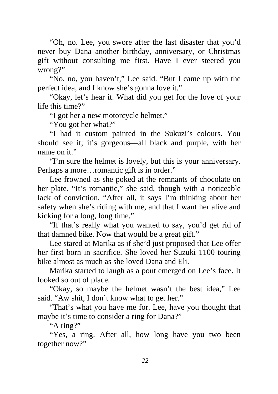"Oh, no. Lee, you swore after the last disaster that you'd never buy Dana another birthday, anniversary, or Christmas gift without consulting me first. Have I ever steered you wrong?"

"No, no, you haven't," Lee said. "But I came up with the perfect idea, and I know she's gonna love it."

"Okay, let's hear it. What did you get for the love of your life this time?"

"I got her a new motorcycle helmet."

"You got her what?"

"I had it custom painted in the Sukuzi's colours. You should see it; it's gorgeous—all black and purple, with her name on it."

"I'm sure the helmet is lovely, but this is your anniversary. Perhaps a more…romantic gift is in order."

Lee frowned as she poked at the remnants of chocolate on her plate. "It's romantic," she said, though with a noticeable lack of conviction. "After all, it says I'm thinking about her safety when she's riding with me, and that I want her alive and kicking for a long, long time."

"If that's really what you wanted to say, you'd get rid of that damned bike. Now that would be a great gift."

Lee stared at Marika as if she'd just proposed that Lee offer her first born in sacrifice. She loved her Suzuki 1100 touring bike almost as much as she loved Dana and Eli.

Marika started to laugh as a pout emerged on Lee's face. It looked so out of place.

"Okay, so maybe the helmet wasn't the best idea," Lee said. "Aw shit, I don't know what to get her."

"That's what you have me for. Lee, have you thought that maybe it's time to consider a ring for Dana?"

"A ring?"

"Yes, a ring. After all, how long have you two been together now?"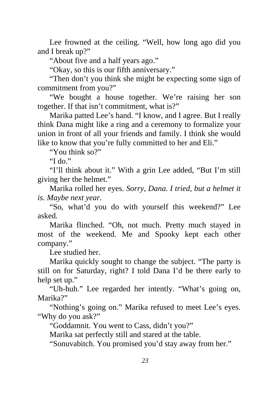Lee frowned at the ceiling. "Well, how long ago did you and I break up?"

"About five and a half years ago."

"Okay, so this is our fifth anniversary."

"Then don't you think she might be expecting some sign of commitment from you?"

"We bought a house together. We're raising her son together. If that isn't commitment, what is?"

Marika patted Lee's hand. "I know, and I agree. But I really think Dana might like a ring and a ceremony to formalize your union in front of all your friends and family. I think she would like to know that you're fully committed to her and Eli."

"You think so?"

"I do."

"I'll think about it." With a grin Lee added, "But I'm still giving her the helmet."

Marika rolled her eyes. *Sorry, Dana. I tried, but a helmet it is. Maybe next year.* 

"So, what'd you do with yourself this weekend?" Lee asked.

Marika flinched. "Oh, not much. Pretty much stayed in most of the weekend. Me and Spooky kept each other company."

Lee studied her.

Marika quickly sought to change the subject. "The party is still on for Saturday, right? I told Dana I'd be there early to help set up."

"Uh-huh." Lee regarded her intently. "What's going on, Marika?"

"Nothing's going on." Marika refused to meet Lee's eyes. "Why do you ask?"

"Goddamnit. You went to Cass, didn't you?"

Marika sat perfectly still and stared at the table.

"Sonuvabitch. You promised you'd stay away from her."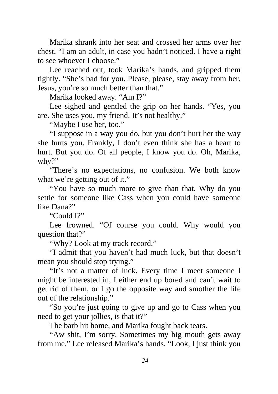Marika shrank into her seat and crossed her arms over her chest. "I am an adult, in case you hadn't noticed. I have a right to see whoever I choose."

Lee reached out, took Marika's hands, and gripped them tightly. "She's bad for you. Please, please, stay away from her. Jesus, you're so much better than that."

Marika looked away. "Am I?"

Lee sighed and gentled the grip on her hands. "Yes, you are. She uses you, my friend. It's not healthy."

"Maybe I use her, too."

"I suppose in a way you do, but you don't hurt her the way she hurts you. Frankly, I don't even think she has a heart to hurt. But you do. Of all people, I know you do. Oh, Marika, why?"

"There's no expectations, no confusion. We both know what we're getting out of it."

"You have so much more to give than that. Why do you settle for someone like Cass when you could have someone like Dana?"

"Could I?"

Lee frowned. "Of course you could. Why would you question that?"

"Why? Look at my track record."

"I admit that you haven't had much luck, but that doesn't mean you should stop trying."

"It's not a matter of luck. Every time I meet someone I might be interested in, I either end up bored and can't wait to get rid of them, or I go the opposite way and smother the life out of the relationship."

"So you're just going to give up and go to Cass when you need to get your jollies, is that it?"

The barb hit home, and Marika fought back tears.

"Aw shit, I'm sorry. Sometimes my big mouth gets away from me." Lee released Marika's hands. "Look, I just think you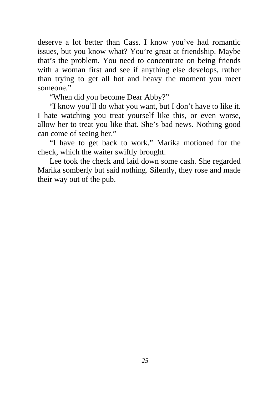deserve a lot better than Cass. I know you've had romantic issues, but you know what? You're great at friendship. Maybe that's the problem. You need to concentrate on being friends with a woman first and see if anything else develops, rather than trying to get all hot and heavy the moment you meet someone."

"When did you become Dear Abby?"

"I know you'll do what you want, but I don't have to like it. I hate watching you treat yourself like this, or even worse, allow her to treat you like that. She's bad news. Nothing good can come of seeing her."

"I have to get back to work." Marika motioned for the check, which the waiter swiftly brought.

Lee took the check and laid down some cash. She regarded Marika somberly but said nothing. Silently, they rose and made their way out of the pub.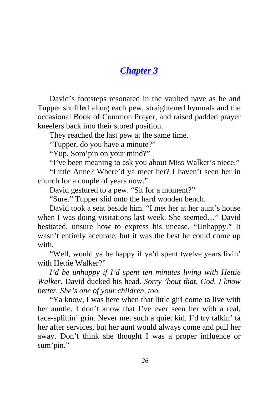#### *Chapter 3*

David's footsteps resonated in the vaulted nave as he and Tupper shuffled along each pew, straightened hymnals and the occasional Book of Common Prayer, and raised padded prayer kneelers back into their stored position.

They reached the last pew at the same time.

"Tupper, do you have a minute?"

"Yup. Som'pin on your mind?"

"I've been meaning to ask you about Miss Walker's niece."

"Little Anne? Where'd ya meet her? I haven't seen her in church for a couple of years now."

David gestured to a pew. "Sit for a moment?"

"Sure." Tupper slid onto the hard wooden bench.

David took a seat beside him. "I met her at her aunt's house when I was doing visitations last week. She seemed…" David hesitated, unsure how to express his unease. "Unhappy." It wasn't entirely accurate, but it was the best he could come up with.

"Well, would ya be happy if ya'd spent twelve years livin' with Hettie Walker?"

*I'd be unhappy if I'd spent ten minutes living with Hettie Walker.* David ducked his head. *Sorry 'bout that, God. I know better. She's one of your children, too.*

"Ya know, I was here when that little girl come ta live with her auntie. I don't know that I've ever seen her with a real, face-splittin' grin. Never met such a quiet kid. I'd try talkin' ta her after services, but her aunt would always come and pull her away. Don't think she thought I was a proper influence or sum'pin."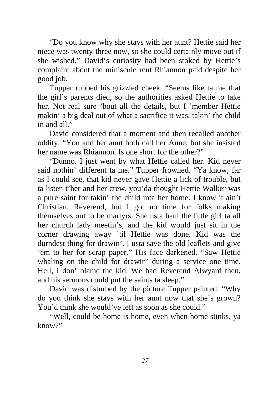"Do you know why she stays with her aunt? Hettie said her niece was twenty-three now, so she could certainly move out if she wished." David's curiosity had been stoked by Hettie's complaint about the miniscule rent Rhiannon paid despite her good job.

Tupper rubbed his grizzled cheek. "Seems like ta me that the girl's parents died, so the authorities asked Hettie to take her. Not real sure 'bout all the details, but I 'member Hettie makin' a big deal out of what a sacrifice it was, takin' the child in and all."

David considered that a moment and then recalled another oddity. "You and her aunt both call her Anne, but she insisted her name was Rhiannon. Is one short for the other?"

"Dunno. I just went by what Hettie called her. Kid never said nothin' different ta me." Tupper frowned. "Ya know, far as I could see, that kid never gave Hettie a lick of trouble, but ta listen t'her and her crew, you'da thought Hettie Walker was a pure saint for takin' the child inta her home. I know it ain't Christian, Reverend, but I got no time for folks making themselves out to be martyrs. She usta haul the little girl ta all her church lady meetin's, and the kid would just sit in the corner drawing away 'til Hettie was done. Kid was the durndest thing for drawin'. I usta save the old leaflets and give 'em to her for scrap paper." His face darkened. "Saw Hettie whaling on the child for drawin' during a service one time. Hell, I don' blame the kid. We had Reverend Alwyard then, and his sermons could put the saints ta sleep."

David was disturbed by the picture Tupper painted. "Why do you think she stays with her aunt now that she's grown? You'd think she would've left as soon as she could."

"Well, could be home is home, even when home stinks, ya  $k$ now?"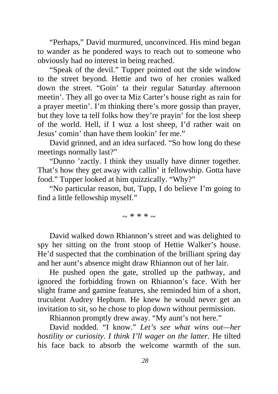"Perhaps," David murmured, unconvinced. His mind began to wander as he pondered ways to reach out to someone who obviously had no interest in being reached.

"Speak of the devil." Tupper pointed out the side window to the street beyond. Hettie and two of her cronies walked down the street. "Goin' ta their regular Saturday afternoon meetin'. They all go over ta Miz Carter's house right as rain for a prayer meetin'. I'm thinking there's more gossip than prayer, but they love ta tell folks how they're prayin' for the lost sheep of the world. Hell, if I wuz a lost sheep, I'd rather wait on Jesus' comin' than have them lookin' fer me."

David grinned, and an idea surfaced. "So how long do these meetings normally last?"

"Dunno 'zactly. I think they usually have dinner together. That's how they get away with callin' it fellowship. Gotta have food." Tupper looked at him quizzically. "Why?"

"No particular reason, but, Tupp, I do believe I'm going to find a little fellowship myself."

 $~ 2 * * * * 2$ 

David walked down Rhiannon's street and was delighted to spy her sitting on the front stoop of Hettie Walker's house. He'd suspected that the combination of the brilliant spring day and her aunt's absence might draw Rhiannon out of her lair.

He pushed open the gate, strolled up the pathway, and ignored the forbidding frown on Rhiannon's face. With her slight frame and gamine features, she reminded him of a short, truculent Audrey Hepburn. He knew he would never get an invitation to sit, so he chose to plop down without permission.

Rhiannon promptly drew away. "My aunt's not here."

David nodded. "I know." *Let's see what wins out—her hostility or curiosity. I think I'll wager on the latter. He tilted* his face back to absorb the welcome warmth of the sun.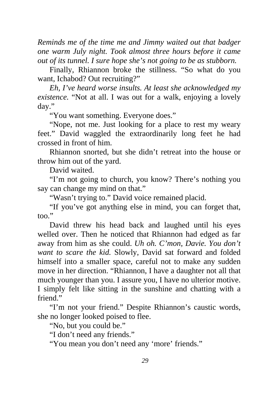*Reminds me of the time me and Jimmy waited out that badger one warm July night. Took almost three hours before it came out of its tunnel. I sure hope she's not going to be as stubborn.* 

Finally, Rhiannon broke the stillness. "So what do you want, Ichabod? Out recruiting?"

*Eh, I've heard worse insults. At least she acknowledged my existence.* "Not at all. I was out for a walk, enjoying a lovely day."

"You want something. Everyone does."

"Nope, not me. Just looking for a place to rest my weary feet." David waggled the extraordinarily long feet he had crossed in front of him.

Rhiannon snorted, but she didn't retreat into the house or throw him out of the yard.

David waited.

"I'm not going to church, you know? There's nothing you say can change my mind on that."

"Wasn't trying to." David voice remained placid.

"If you've got anything else in mind, you can forget that, too."

David threw his head back and laughed until his eyes welled over. Then he noticed that Rhiannon had edged as far away from him as she could. *Uh oh. C'mon, Davie. You don't want to scare the kid.* Slowly, David sat forward and folded himself into a smaller space, careful not to make any sudden move in her direction. "Rhiannon, I have a daughter not all that much younger than you. I assure you, I have no ulterior motive. I simply felt like sitting in the sunshine and chatting with a friend."

"I'm not your friend." Despite Rhiannon's caustic words, she no longer looked poised to flee.

"No, but you could be."

"I don't need any friends."

"You mean you don't need any 'more' friends."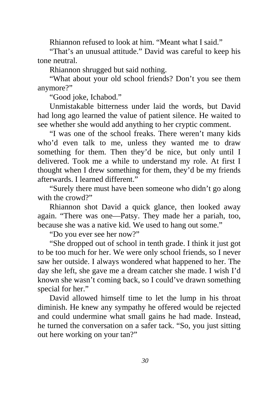Rhiannon refused to look at him. "Meant what I said."

"That's an unusual attitude." David was careful to keep his tone neutral.

Rhiannon shrugged but said nothing.

"What about your old school friends? Don't you see them anymore?"

"Good joke, Ichabod."

Unmistakable bitterness under laid the words, but David had long ago learned the value of patient silence. He waited to see whether she would add anything to her cryptic comment.

"I was one of the school freaks. There weren't many kids who'd even talk to me, unless they wanted me to draw something for them. Then they'd be nice, but only until I delivered. Took me a while to understand my role. At first I thought when I drew something for them, they'd be my friends afterwards. I learned different."

"Surely there must have been someone who didn't go along with the crowd?"

Rhiannon shot David a quick glance, then looked away again. "There was one—Patsy. They made her a pariah, too, because she was a native kid. We used to hang out some."

"Do you ever see her now?"

"She dropped out of school in tenth grade. I think it just got to be too much for her. We were only school friends, so I never saw her outside. I always wondered what happened to her. The day she left, she gave me a dream catcher she made. I wish I'd known she wasn't coming back, so I could've drawn something special for her."

David allowed himself time to let the lump in his throat diminish. He knew any sympathy he offered would be rejected and could undermine what small gains he had made. Instead, he turned the conversation on a safer tack. "So, you just sitting out here working on your tan?"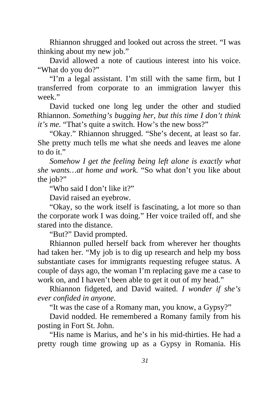Rhiannon shrugged and looked out across the street. "I was thinking about my new job."

David allowed a note of cautious interest into his voice. "What do you do?"

"I'm a legal assistant. I'm still with the same firm, but I transferred from corporate to an immigration lawyer this week."

David tucked one long leg under the other and studied Rhiannon. *Something's bugging her, but this time I don't think it's me.* "That's quite a switch. How's the new boss?"

"Okay." Rhiannon shrugged. "She's decent, at least so far. She pretty much tells me what she needs and leaves me alone to do it."

*Somehow I get the feeling being left alone is exactly what she wants…at home and work.* "So what don't you like about the job?"

"Who said I don't like it?"

David raised an eyebrow.

"Okay, so the work itself is fascinating, a lot more so than the corporate work I was doing." Her voice trailed off, and she stared into the distance.

"But?" David prompted.

Rhiannon pulled herself back from wherever her thoughts had taken her. "My job is to dig up research and help my boss substantiate cases for immigrants requesting refugee status. A couple of days ago, the woman I'm replacing gave me a case to work on, and I haven't been able to get it out of my head."

Rhiannon fidgeted, and David waited. *I wonder if she's ever confided in anyone.*

"It was the case of a Romany man, you know, a Gypsy?"

David nodded. He remembered a Romany family from his posting in Fort St. John.

"His name is Marius, and he's in his mid-thirties. He had a pretty rough time growing up as a Gypsy in Romania. His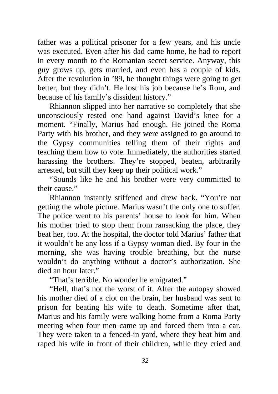father was a political prisoner for a few years, and his uncle was executed. Even after his dad came home, he had to report in every month to the Romanian secret service. Anyway, this guy grows up, gets married, and even has a couple of kids. After the revolution in '89, he thought things were going to get better, but they didn't. He lost his job because he's Rom, and because of his family's dissident history."

Rhiannon slipped into her narrative so completely that she unconsciously rested one hand against David's knee for a moment. "Finally, Marius had enough. He joined the Roma Party with his brother, and they were assigned to go around to the Gypsy communities telling them of their rights and teaching them how to vote. Immediately, the authorities started harassing the brothers. They're stopped, beaten, arbitrarily arrested, but still they keep up their political work."

"Sounds like he and his brother were very committed to their cause."

Rhiannon instantly stiffened and drew back. "You're not getting the whole picture. Marius wasn't the only one to suffer. The police went to his parents' house to look for him. When his mother tried to stop them from ransacking the place, they beat her, too. At the hospital, the doctor told Marius' father that it wouldn't be any loss if a Gypsy woman died. By four in the morning, she was having trouble breathing, but the nurse wouldn't do anything without a doctor's authorization. She died an hour later."

"That's terrible. No wonder he emigrated."

"Hell, that's not the worst of it. After the autopsy showed his mother died of a clot on the brain, her husband was sent to prison for beating his wife to death. Sometime after that, Marius and his family were walking home from a Roma Party meeting when four men came up and forced them into a car. They were taken to a fenced-in yard, where they beat him and raped his wife in front of their children, while they cried and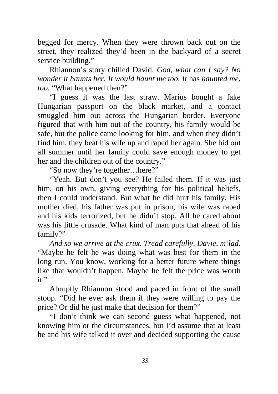begged for mercy. When they were thrown back out on the street, they realized they'd been in the backyard of a secret service building."

Rhiannon's story chilled David. *God, what can I say? No wonder it haunts her. It would haunt me too. It* has *haunted me, too.* "What happened then?"

"I guess it was the last straw. Marius bought a fake Hungarian passport on the black market, and a contact smuggled him out across the Hungarian border. Everyone figured that with him out of the country, his family would be safe, but the police came looking for him, and when they didn't find him, they beat his wife up and raped her again. She hid out all summer until her family could save enough money to get her and the children out of the country."

"So now they're together…here?"

"Yeah. But don't you see? He failed them. If it was just him, on his own, giving everything for his political beliefs, then I could understand. But what he did hurt his family. His mother died, his father was put in prison, his wife was raped and his kids terrorized, but he didn't stop. All he cared about was his little crusade. What kind of man puts that ahead of his family?"

*And so we arrive at the crux. Tread carefully, Davie, m'lad.* "Maybe he felt he was doing what was best for them in the long run. You know, working for a better future where things like that wouldn't happen. Maybe he felt the price was worth it."

Abruptly Rhiannon stood and paced in front of the small stoop. "Did he ever ask them if they were willing to pay the price? Or did he just make that decision for them?"

"I don't think we can second guess what happened, not knowing him or the circumstances, but I'd assume that at least he and his wife talked it over and decided supporting the cause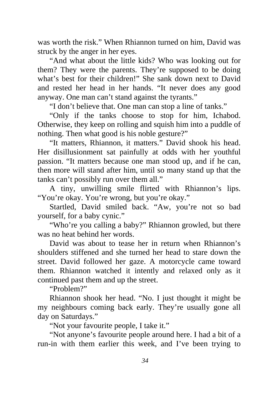was worth the risk." When Rhiannon turned on him, David was struck by the anger in her eyes.

"And what about the little kids? Who was looking out for them? They were the parents. They're supposed to be doing what's best for their children!" She sank down next to David and rested her head in her hands. "It never does any good anyway. One man can't stand against the tyrants."

"I don't believe that. One man can stop a line of tanks."

"Only if the tanks choose to stop for him, Ichabod. Otherwise, they keep on rolling and squish him into a puddle of nothing. Then what good is his noble gesture?"

"It matters, Rhiannon, it matters." David shook his head. Her disillusionment sat painfully at odds with her youthful passion. "It matters because one man stood up, and if he can, then more will stand after him, until so many stand up that the tanks can't possibly run over them all."

A tiny, unwilling smile flirted with Rhiannon's lips. "You're okay. You're wrong, but you're okay."

Startled, David smiled back. "Aw, you're not so bad yourself, for a baby cynic."

"Who're you calling a baby?" Rhiannon growled, but there was no heat behind her words.

David was about to tease her in return when Rhiannon's shoulders stiffened and she turned her head to stare down the street. David followed her gaze. A motorcycle came toward them. Rhiannon watched it intently and relaxed only as it continued past them and up the street.

"Problem?"

Rhiannon shook her head. "No. I just thought it might be my neighbours coming back early. They're usually gone all day on Saturdays."

"Not your favourite people, I take it."

"Not anyone's favourite people around here. I had a bit of a run-in with them earlier this week, and I've been trying to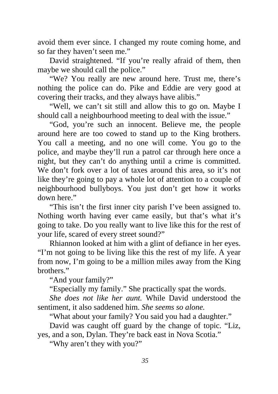avoid them ever since. I changed my route coming home, and so far they haven't seen me."

David straightened. "If you're really afraid of them, then maybe we should call the police."

"We? You really are new around here. Trust me, there's nothing the police can do. Pike and Eddie are very good at covering their tracks, and they always have alibis."

"Well, we can't sit still and allow this to go on. Maybe I should call a neighbourhood meeting to deal with the issue."

"God, you're such an innocent. Believe me, the people around here are too cowed to stand up to the King brothers. You call a meeting, and no one will come. You go to the police, and maybe they'll run a patrol car through here once a night, but they can't do anything until a crime is committed. We don't fork over a lot of taxes around this area, so it's not like they're going to pay a whole lot of attention to a couple of neighbourhood bullyboys. You just don't get how it works down here."

"This isn't the first inner city parish I've been assigned to. Nothing worth having ever came easily, but that's what it's going to take. Do you really want to live like this for the rest of your life, scared of every street sound?"

Rhiannon looked at him with a glint of defiance in her eyes. "I'm not going to be living like this the rest of my life. A year from now, I'm going to be a million miles away from the King brothers."

"And your family?"

"Especially my family." She practically spat the words.

*She does not like her aunt.* While David understood the sentiment, it also saddened him. *She seems so alone.* 

"What about your family? You said you had a daughter."

David was caught off guard by the change of topic. "Liz, yes, and a son, Dylan. They're back east in Nova Scotia."

"Why aren't they with you?"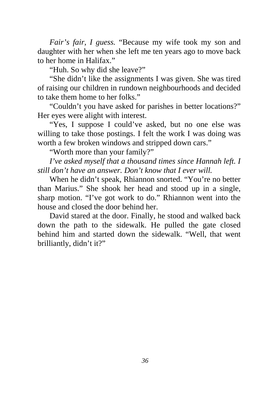*Fair's fair, I guess.* "Because my wife took my son and daughter with her when she left me ten years ago to move back to her home in Halifax."

"Huh. So why did she leave?"

"She didn't like the assignments I was given. She was tired of raising our children in rundown neighbourhoods and decided to take them home to her folks."

"Couldn't you have asked for parishes in better locations?" Her eyes were alight with interest.

"Yes, I suppose I could've asked, but no one else was willing to take those postings. I felt the work I was doing was worth a few broken windows and stripped down cars."

"Worth more than your family?"

*I've asked myself that a thousand times since Hannah left. I still don't have an answer. Don't know that I ever will.*

When he didn't speak, Rhiannon snorted. "You're no better than Marius." She shook her head and stood up in a single, sharp motion. "I've got work to do." Rhiannon went into the house and closed the door behind her.

David stared at the door. Finally, he stood and walked back down the path to the sidewalk. He pulled the gate closed behind him and started down the sidewalk. "Well, that went brilliantly, didn't it?"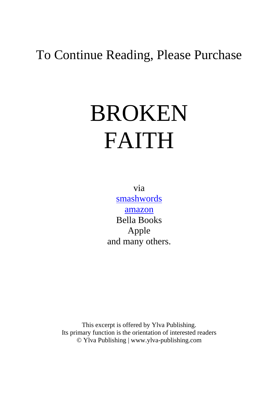### To Continue Reading, Please Purchase

## BROKEN FAITH

via [smashwords](https://www.smashwords.com/books/view/380874) [amazon](http://www.amazon.com/Broken-Faith-Lois-Cloarec-Hart-ebook/dp/B00GSTWKJQ/ref=sr_1_3?s=books&ie=UTF8&qid=1385217265&sr=1-3&keywords=broken+faith) Bella Books Apple and many others.

This excerpt is offered by Ylva Publishing. Its primary function is the orientation of interested readers © Ylva Publishing | www.ylva-publishing.com